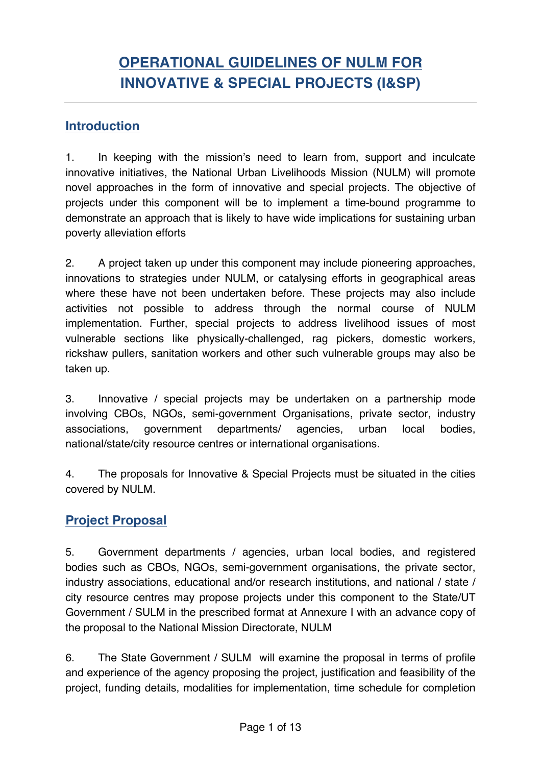# **Introduction**

1. In keeping with the mission's need to learn from, support and inculcate innovative initiatives, the National Urban Livelihoods Mission (NULM) will promote novel approaches in the form of innovative and special projects. The objective of projects under this component will be to implement a time-bound programme to demonstrate an approach that is likely to have wide implications for sustaining urban poverty alleviation efforts

2. A project taken up under this component may include pioneering approaches, innovations to strategies under NULM, or catalysing efforts in geographical areas where these have not been undertaken before. These projects may also include activities not possible to address through the normal course of NULM implementation. Further, special projects to address livelihood issues of most vulnerable sections like physically-challenged, rag pickers, domestic workers, rickshaw pullers, sanitation workers and other such vulnerable groups may also be taken up.

3. Innovative / special projects may be undertaken on a partnership mode involving CBOs, NGOs, semi-government Organisations, private sector, industry associations, government departments/ agencies, urban local bodies, national/state/city resource centres or international organisations.

4. The proposals for Innovative & Special Projects must be situated in the cities covered by NULM.

# **Project Proposal**

5. Government departments / agencies, urban local bodies, and registered bodies such as CBOs, NGOs, semi-government organisations, the private sector, industry associations, educational and/or research institutions, and national / state / city resource centres may propose projects under this component to the State/UT Government / SULM in the prescribed format at Annexure I with an advance copy of the proposal to the National Mission Directorate, NULM

6. The State Government / SULM will examine the proposal in terms of profile and experience of the agency proposing the project, justification and feasibility of the project, funding details, modalities for implementation, time schedule for completion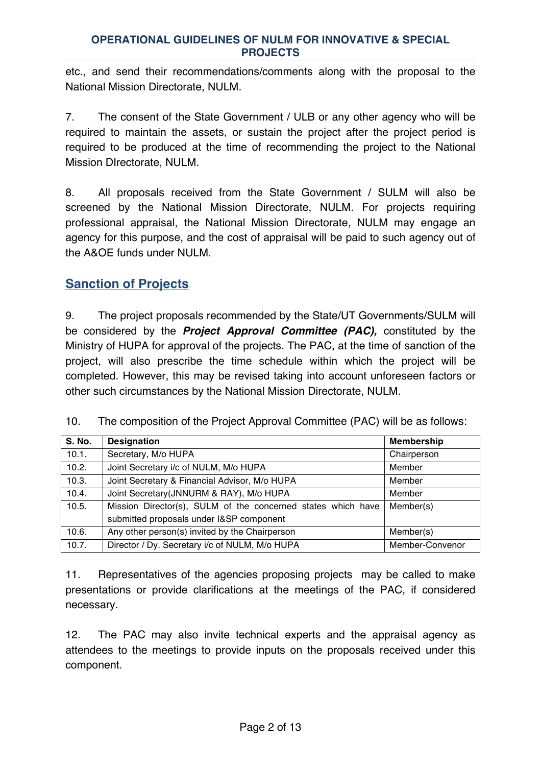etc., and send their recommendations/comments along with the proposal to the National Mission Directorate, NULM.

7. The consent of the State Government / ULB or any other agency who will be required to maintain the assets, or sustain the project after the project period is required to be produced at the time of recommending the project to the National Mission DIrectorate, NULM.

8. All proposals received from the State Government / SULM will also be screened by the National Mission Directorate, NULM. For projects requiring professional appraisal, the National Mission Directorate, NULM may engage an agency for this purpose, and the cost of appraisal will be paid to such agency out of the A&OE funds under NULM.

# **Sanction of Projects**

9. The project proposals recommended by the State/UT Governments/SULM will be considered by the *Project Approval Committee (PAC),* constituted by the Ministry of HUPA for approval of the projects. The PAC, at the time of sanction of the project, will also prescribe the time schedule within which the project will be completed. However, this may be revised taking into account unforeseen factors or other such circumstances by the National Mission Directorate, NULM.

| 10. | The composition of the Project Approval Committee (PAC) will be as follows: |  |  |  |  |
|-----|-----------------------------------------------------------------------------|--|--|--|--|
|-----|-----------------------------------------------------------------------------|--|--|--|--|

| <b>S. No.</b> | <b>Designation</b>                                           | <b>Membership</b> |
|---------------|--------------------------------------------------------------|-------------------|
| 10.1.         | Secretary, M/o HUPA                                          | Chairperson       |
| 10.2.         | Joint Secretary i/c of NULM, M/o HUPA                        | Member            |
| 10.3.         | Joint Secretary & Financial Advisor, M/o HUPA                | Member            |
| 10.4.         | Joint Secretary (JNNURM & RAY), M/o HUPA                     | Member            |
| 10.5.         | Mission Director(s), SULM of the concerned states which have | Member(s)         |
|               | submitted proposals under I&SP component                     |                   |
| 10.6.         | Any other person(s) invited by the Chairperson               | Member(s)         |
| 10.7.         | Director / Dy. Secretary i/c of NULM, M/o HUPA               | Member-Convenor   |

11. Representatives of the agencies proposing projects may be called to make presentations or provide clarifications at the meetings of the PAC, if considered necessary.

12. The PAC may also invite technical experts and the appraisal agency as attendees to the meetings to provide inputs on the proposals received under this component.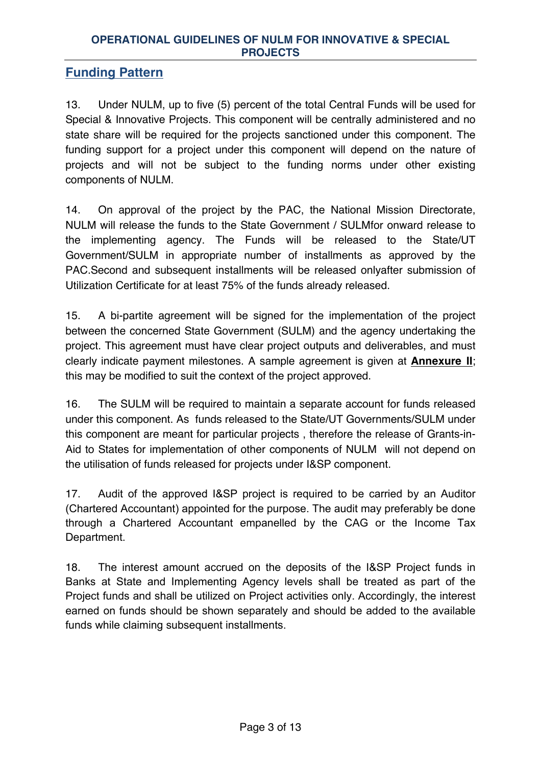# **Funding Pattern**

13. Under NULM, up to five (5) percent of the total Central Funds will be used for Special & Innovative Projects. This component will be centrally administered and no state share will be required for the projects sanctioned under this component. The funding support for a project under this component will depend on the nature of projects and will not be subject to the funding norms under other existing components of NULM.

14. On approval of the project by the PAC, the National Mission Directorate, NULM will release the funds to the State Government / SULMfor onward release to the implementing agency. The Funds will be released to the State/UT Government/SULM in appropriate number of installments as approved by the PAC.Second and subsequent installments will be released onlyafter submission of Utilization Certificate for at least 75% of the funds already released.

15. A bi-partite agreement will be signed for the implementation of the project between the concerned State Government (SULM) and the agency undertaking the project. This agreement must have clear project outputs and deliverables, and must clearly indicate payment milestones. A sample agreement is given at **Annexure II**; this may be modified to suit the context of the project approved.

16. The SULM will be required to maintain a separate account for funds released under this component. As funds released to the State/UT Governments/SULM under this component are meant for particular projects , therefore the release of Grants-in-Aid to States for implementation of other components of NULM will not depend on the utilisation of funds released for projects under I&SP component.

17. Audit of the approved I&SP project is required to be carried by an Auditor (Chartered Accountant) appointed for the purpose. The audit may preferably be done through a Chartered Accountant empanelled by the CAG or the Income Tax Department.

18. The interest amount accrued on the deposits of the I&SP Project funds in Banks at State and Implementing Agency levels shall be treated as part of the Project funds and shall be utilized on Project activities only. Accordingly, the interest earned on funds should be shown separately and should be added to the available funds while claiming subsequent installments.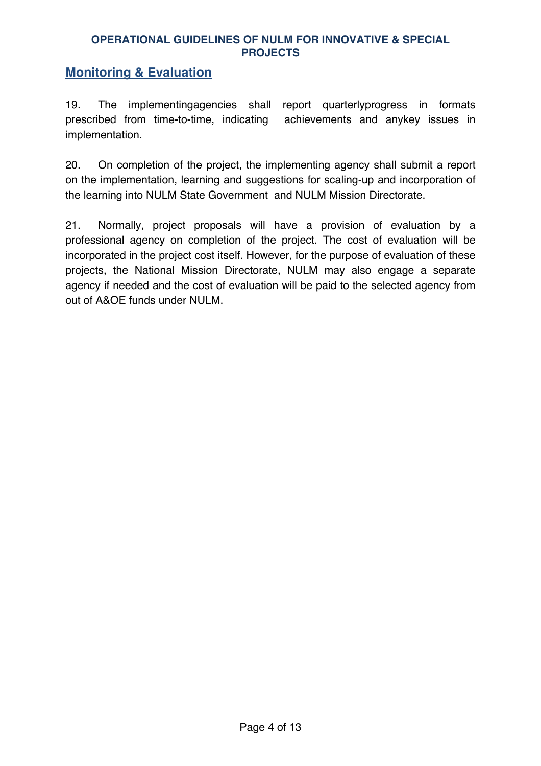# **Monitoring & Evaluation**

19. The implementingagencies shall report quarterlyprogress in formats prescribed from time-to-time, indicating achievements and anykey issues in implementation.

20. On completion of the project, the implementing agency shall submit a report on the implementation, learning and suggestions for scaling-up and incorporation of the learning into NULM State Government and NULM Mission Directorate.

21. Normally, project proposals will have a provision of evaluation by a professional agency on completion of the project. The cost of evaluation will be incorporated in the project cost itself. However, for the purpose of evaluation of these projects, the National Mission Directorate, NULM may also engage a separate agency if needed and the cost of evaluation will be paid to the selected agency from out of A&OE funds under NULM.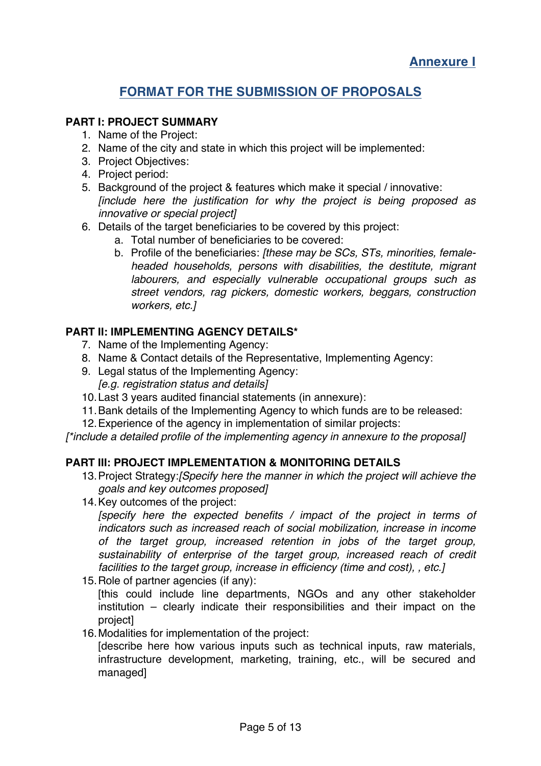# **FORMAT FOR THE SUBMISSION OF PROPOSALS**

### **PART I: PROJECT SUMMARY**

- 1. Name of the Project:
- 2. Name of the city and state in which this project will be implemented:
- 3. Project Objectives:
- 4. Project period:
- 5. Background of the project & features which make it special / innovative: *[include here the justification for why the project is being proposed as innovative or special project]*
- 6. Details of the target beneficiaries to be covered by this project:
	- a. Total number of beneficiaries to be covered:
	- b. Profile of the beneficiaries: *[these may be SCs, STs, minorities, femaleheaded households, persons with disabilities, the destitute, migrant labourers, and especially vulnerable occupational groups such as street vendors, rag pickers, domestic workers, beggars, construction workers, etc.]*

### **PART II: IMPLEMENTING AGENCY DETAILS\***

- 7. Name of the Implementing Agency:
- 8. Name & Contact details of the Representative, Implementing Agency:
- 9. Legal status of the Implementing Agency: *[e.g. registration status and details]*
- 10.Last 3 years audited financial statements (in annexure):
- 11.Bank details of the Implementing Agency to which funds are to be released:
- 12.Experience of the agency in implementation of similar projects:

*[\*include a detailed profile of the implementing agency in annexure to the proposal]*

### **PART III: PROJECT IMPLEMENTATION & MONITORING DETAILS**

- 13.Project Strategy:*[Specify here the manner in which the project will achieve the goals and key outcomes proposed]*
- 14.Key outcomes of the project:

*[specify here the expected benefits / impact of the project in terms of indicators such as increased reach of social mobilization, increase in income of the target group, increased retention in jobs of the target group, sustainability of enterprise of the target group, increased reach of credit facilities to the target group, increase in efficiency (time and cost), , etc.]*

15.Role of partner agencies (if any):

[this could include line departments, NGOs and any other stakeholder institution – clearly indicate their responsibilities and their impact on the project]

16.Modalities for implementation of the project:

[describe here how various inputs such as technical inputs, raw materials, infrastructure development, marketing, training, etc., will be secured and managed]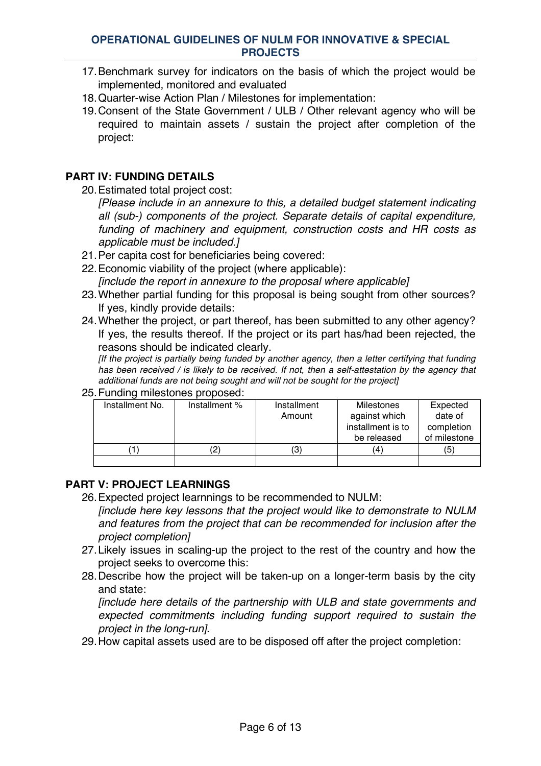- 17.Benchmark survey for indicators on the basis of which the project would be implemented, monitored and evaluated
- 18.Quarter-wise Action Plan / Milestones for implementation:
- 19.Consent of the State Government / ULB / Other relevant agency who will be required to maintain assets / sustain the project after completion of the project:

#### **PART IV: FUNDING DETAILS**

20.Estimated total project cost:

*[Please include in an annexure to this, a detailed budget statement indicating all (sub-) components of the project. Separate details of capital expenditure, funding of machinery and equipment, construction costs and HR costs as applicable must be included.]*

- 21.Per capita cost for beneficiaries being covered:
- 22.Economic viability of the project (where applicable): *[include the report in annexure to the proposal where applicable]*
- 23.Whether partial funding for this proposal is being sought from other sources? If yes, kindly provide details:
- 24.Whether the project, or part thereof, has been submitted to any other agency? If yes, the results thereof. If the project or its part has/had been rejected, the reasons should be indicated clearly.

*[If the project is partially being funded by another agency, then a letter certifying that funding has been received / is likely to be received. If not, then a self-attestation by the agency that additional funds are not being sought and will not be sought for the project]*

25.Funding milestones proposed:

| Installment No. | Installment % | Installment | <b>Milestones</b> | Expected     |
|-----------------|---------------|-------------|-------------------|--------------|
|                 |               | Amount      | against which     | date of      |
|                 |               |             | installment is to | completion   |
|                 |               |             | be released       | of milestone |
|                 |               | (3)         | $\overline{4}$    | (5)          |
|                 |               |             |                   |              |

# **PART V: PROJECT LEARNINGS**

- 26.Expected project learnnings to be recommended to NULM: *[include here key lessons that the project would like to demonstrate to NULM and features from the project that can be recommended for inclusion after the project completion]*
- 27.Likely issues in scaling-up the project to the rest of the country and how the project seeks to overcome this:
- 28.Describe how the project will be taken-up on a longer-term basis by the city and state:

*[include here details of the partnership with ULB and state governments and expected commitments including funding support required to sustain the project in the long-run]*.

29.How capital assets used are to be disposed off after the project completion: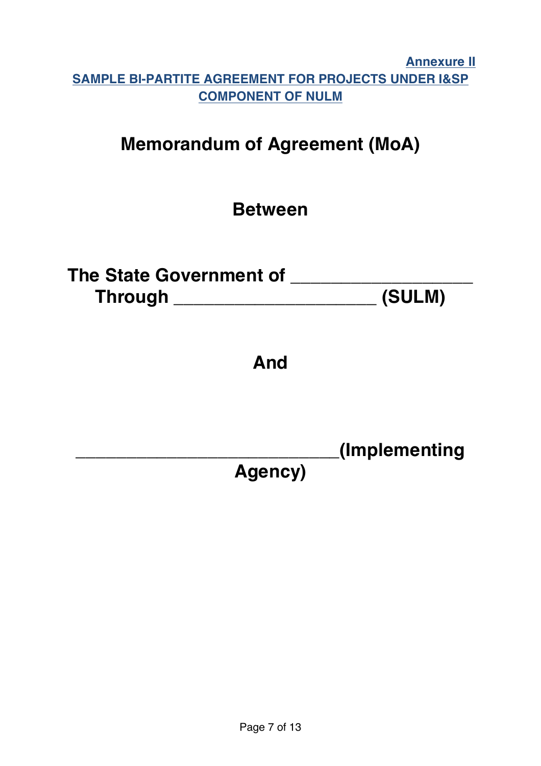# **Annexure II SAMPLE BI-PARTITE AGREEMENT FOR PROJECTS UNDER I&SP COMPONENT OF NULM**

# **Memorandum of Agreement (MoA)**

# **Between**

| The State Government of |        |
|-------------------------|--------|
| <b>Through</b>          | (SULM) |

# **And**

**\_\_\_\_\_\_\_\_\_\_\_\_\_\_\_\_\_\_\_\_\_\_\_\_\_\_(Implementing** 

**Agency)**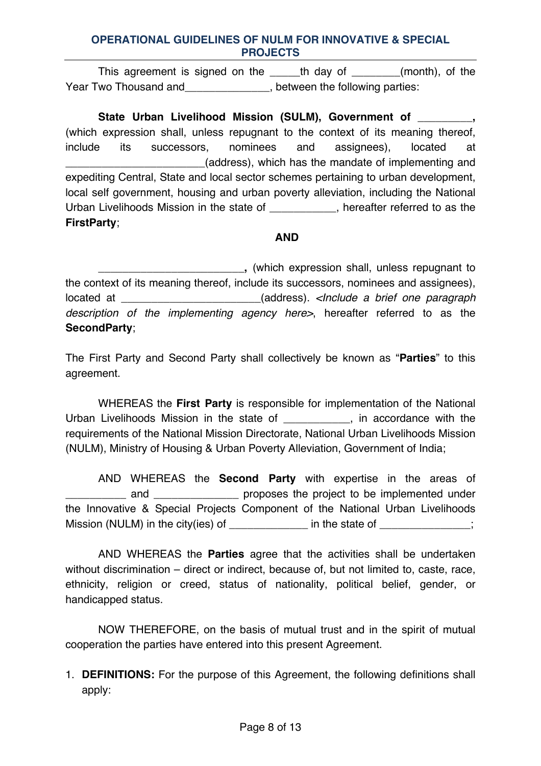This agreement is signed on the \_\_\_\_\_th day of \_\_\_\_\_\_\_(month), of the Year Two Thousand and The Thousand and The Following parties:

**State Urban Livelihood Mission (SULM), Government of \_\_\_\_\_\_\_\_\_,**  (which expression shall, unless repugnant to the context of its meaning thereof, include its successors, nominees and assignees), located at \_\_\_\_\_\_\_\_\_\_\_\_\_\_\_\_\_\_\_\_\_\_\_(address), which has the mandate of implementing and expediting Central, State and local sector schemes pertaining to urban development, local self government, housing and urban poverty alleviation, including the National Urban Livelihoods Mission in the state of \_\_\_\_\_\_\_\_\_\_\_, hereafter referred to as the **FirstParty**;

#### **AND**

**\_\_\_\_\_\_\_\_\_\_\_\_\_\_\_\_\_\_\_\_\_\_\_\_,** (which expression shall, unless repugnant to the context of its meaning thereof, include its successors, nominees and assignees), located at \_\_\_\_\_\_\_\_\_\_\_\_\_\_\_\_\_\_\_\_\_\_\_(address). *<Include a brief one paragraph description of the implementing agency here>*, hereafter referred to as the **SecondParty**;

The First Party and Second Party shall collectively be known as "**Parties**" to this agreement.

WHEREAS the **First Party** is responsible for implementation of the National Urban Livelihoods Mission in the state of \_\_\_\_\_\_\_\_\_\_\_, in accordance with the requirements of the National Mission Directorate, National Urban Livelihoods Mission (NULM), Ministry of Housing & Urban Poverty Alleviation, Government of India;

AND WHEREAS the **Second Party** with expertise in the areas of and **EXACTER EXACTE SETA** proposes the project to be implemented under the Innovative & Special Projects Component of the National Urban Livelihoods Mission (NULM) in the city(ies) of \_\_\_\_\_\_\_\_\_\_\_\_\_\_\_\_\_\_\_\_\_\_\_\_\_\_\_\_;

AND WHEREAS the **Parties** agree that the activities shall be undertaken without discrimination – direct or indirect, because of, but not limited to, caste, race, ethnicity, religion or creed, status of nationality, political belief, gender, or handicapped status.

NOW THEREFORE, on the basis of mutual trust and in the spirit of mutual cooperation the parties have entered into this present Agreement.

1. **DEFINITIONS:** For the purpose of this Agreement, the following definitions shall apply: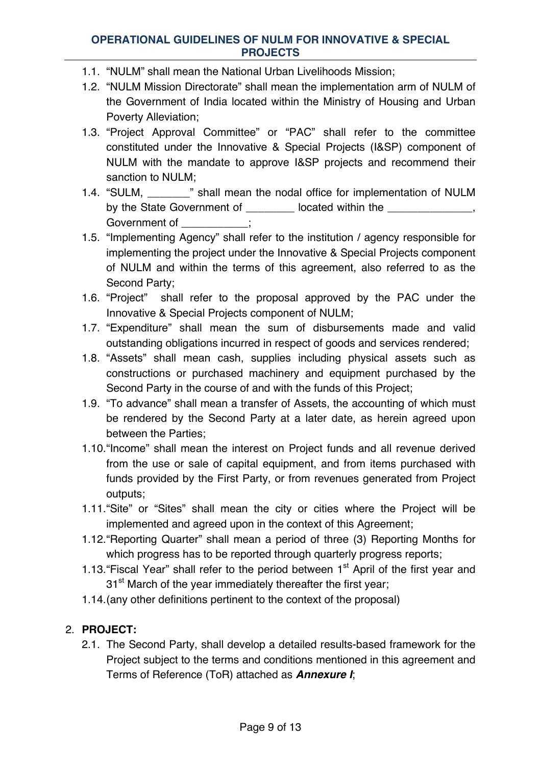- 1.1. "NULM" shall mean the National Urban Livelihoods Mission;
- 1.2. "NULM Mission Directorate" shall mean the implementation arm of NULM of the Government of India located within the Ministry of Housing and Urban Poverty Alleviation;
- 1.3. "Project Approval Committee" or "PAC" shall refer to the committee constituted under the Innovative & Special Projects (I&SP) component of NULM with the mandate to approve I&SP projects and recommend their sanction to NULM;
- 1.4. "SULM, \_\_\_\_\_\_\_" shall mean the nodal office for implementation of NULM by the State Government of \_\_\_\_\_\_\_\_ located within the \_\_\_\_\_\_\_\_\_\_\_\_, Government of  $\hspace{1.6cm}$ :
- 1.5. "Implementing Agency" shall refer to the institution / agency responsible for implementing the project under the Innovative & Special Projects component of NULM and within the terms of this agreement, also referred to as the Second Party;
- 1.6. "Project" shall refer to the proposal approved by the PAC under the Innovative & Special Projects component of NULM;
- 1.7. "Expenditure" shall mean the sum of disbursements made and valid outstanding obligations incurred in respect of goods and services rendered;
- 1.8. "Assets" shall mean cash, supplies including physical assets such as constructions or purchased machinery and equipment purchased by the Second Party in the course of and with the funds of this Project;
- 1.9. "To advance" shall mean a transfer of Assets, the accounting of which must be rendered by the Second Party at a later date, as herein agreed upon between the Parties;
- 1.10."Income" shall mean the interest on Project funds and all revenue derived from the use or sale of capital equipment, and from items purchased with funds provided by the First Party, or from revenues generated from Project outputs;
- 1.11."Site" or "Sites" shall mean the city or cities where the Project will be implemented and agreed upon in the context of this Agreement;
- 1.12."Reporting Quarter" shall mean a period of three (3) Reporting Months for which progress has to be reported through quarterly progress reports;
- 1.13. "Fiscal Year" shall refer to the period between  $1<sup>st</sup>$  April of the first year and 31<sup>st</sup> March of the year immediately thereafter the first year;
- 1.14.(any other definitions pertinent to the context of the proposal)

# 2. **PROJECT:**

2.1. The Second Party, shall develop a detailed results-based framework for the Project subject to the terms and conditions mentioned in this agreement and Terms of Reference (ToR) attached as *Annexure I*;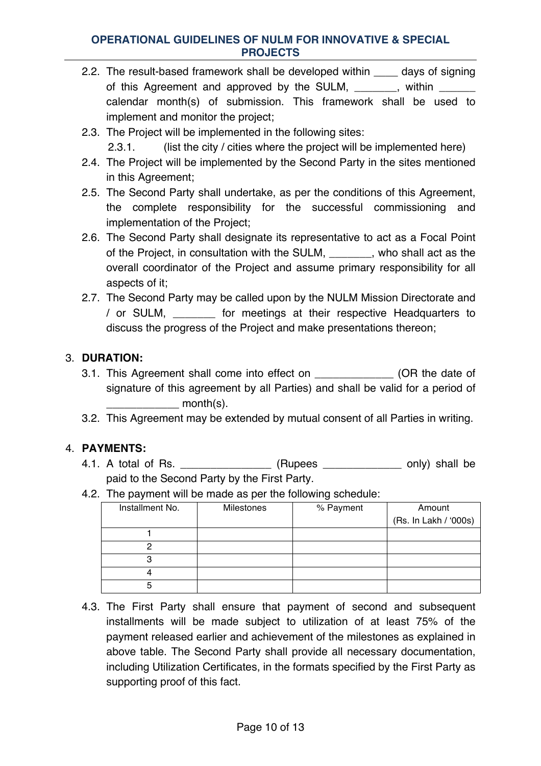- 2.2. The result-based framework shall be developed within \_\_\_\_ days of signing of this Agreement and approved by the SULM, \_\_\_\_\_\_, within \_\_\_\_\_ calendar month(s) of submission. This framework shall be used to implement and monitor the project;
- 2.3. The Project will be implemented in the following sites:

2.3.1. (list the city / cities where the project will be implemented here)

- 2.4. The Project will be implemented by the Second Party in the sites mentioned in this Agreement;
- 2.5. The Second Party shall undertake, as per the conditions of this Agreement, the complete responsibility for the successful commissioning and implementation of the Project;
- 2.6. The Second Party shall designate its representative to act as a Focal Point of the Project, in consultation with the SULM, \_\_\_\_\_\_\_, who shall act as the overall coordinator of the Project and assume primary responsibility for all aspects of it;
- 2.7. The Second Party may be called upon by the NULM Mission Directorate and / or SULM, \_\_\_\_\_\_\_ for meetings at their respective Headquarters to discuss the progress of the Project and make presentations thereon;

# 3. **DURATION:**

- 3.1. This Agreement shall come into effect on  $(OR$  the date of signature of this agreement by all Parties) and shall be valid for a period of  $month(s)$ .
- 3.2. This Agreement may be extended by mutual consent of all Parties in writing.

# 4. **PAYMENTS:**

- 4.1. A total of Rs.  $\qquad \qquad$  (Rupees \_\_\_\_\_\_\_\_\_\_\_\_ only) shall be paid to the Second Party by the First Party.
- 4.2. The payment will be made as per the following schedule:

| Installment No. | Milestones | % Payment | Amount                |
|-----------------|------------|-----------|-----------------------|
|                 |            |           | (Rs. In Lakh / '000s) |
|                 |            |           |                       |
|                 |            |           |                       |
|                 |            |           |                       |
|                 |            |           |                       |
|                 |            |           |                       |

4.3. The First Party shall ensure that payment of second and subsequent installments will be made subject to utilization of at least 75% of the payment released earlier and achievement of the milestones as explained in above table. The Second Party shall provide all necessary documentation, including Utilization Certificates, in the formats specified by the First Party as supporting proof of this fact.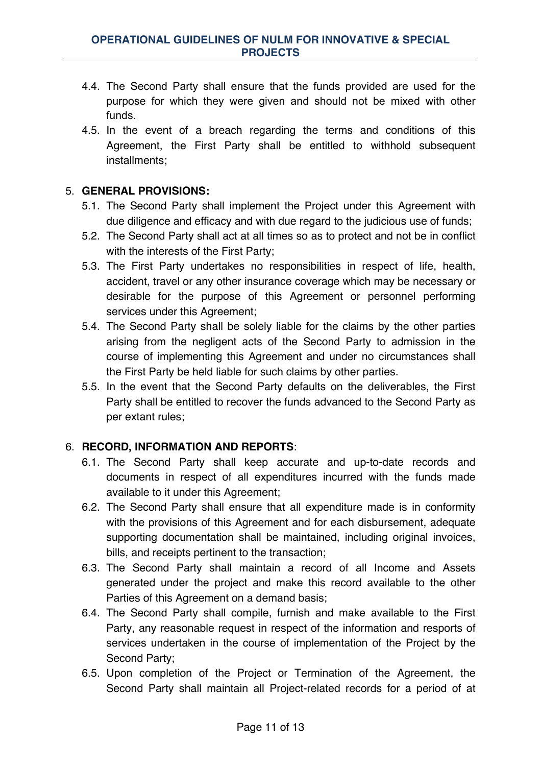- 4.4. The Second Party shall ensure that the funds provided are used for the purpose for which they were given and should not be mixed with other funds.
- 4.5. In the event of a breach regarding the terms and conditions of this Agreement, the First Party shall be entitled to withhold subsequent installments;

# 5. **GENERAL PROVISIONS:**

- 5.1. The Second Party shall implement the Project under this Agreement with due diligence and efficacy and with due regard to the judicious use of funds;
- 5.2. The Second Party shall act at all times so as to protect and not be in conflict with the interests of the First Party;
- 5.3. The First Party undertakes no responsibilities in respect of life, health, accident, travel or any other insurance coverage which may be necessary or desirable for the purpose of this Agreement or personnel performing services under this Agreement;
- 5.4. The Second Party shall be solely liable for the claims by the other parties arising from the negligent acts of the Second Party to admission in the course of implementing this Agreement and under no circumstances shall the First Party be held liable for such claims by other parties.
- 5.5. In the event that the Second Party defaults on the deliverables, the First Party shall be entitled to recover the funds advanced to the Second Party as per extant rules;

# 6. **RECORD, INFORMATION AND REPORTS**:

- 6.1. The Second Party shall keep accurate and up-to-date records and documents in respect of all expenditures incurred with the funds made available to it under this Agreement;
- 6.2. The Second Party shall ensure that all expenditure made is in conformity with the provisions of this Agreement and for each disbursement, adequate supporting documentation shall be maintained, including original invoices, bills, and receipts pertinent to the transaction;
- 6.3. The Second Party shall maintain a record of all Income and Assets generated under the project and make this record available to the other Parties of this Agreement on a demand basis;
- 6.4. The Second Party shall compile, furnish and make available to the First Party, any reasonable request in respect of the information and resports of services undertaken in the course of implementation of the Project by the Second Party;
- 6.5. Upon completion of the Project or Termination of the Agreement, the Second Party shall maintain all Project-related records for a period of at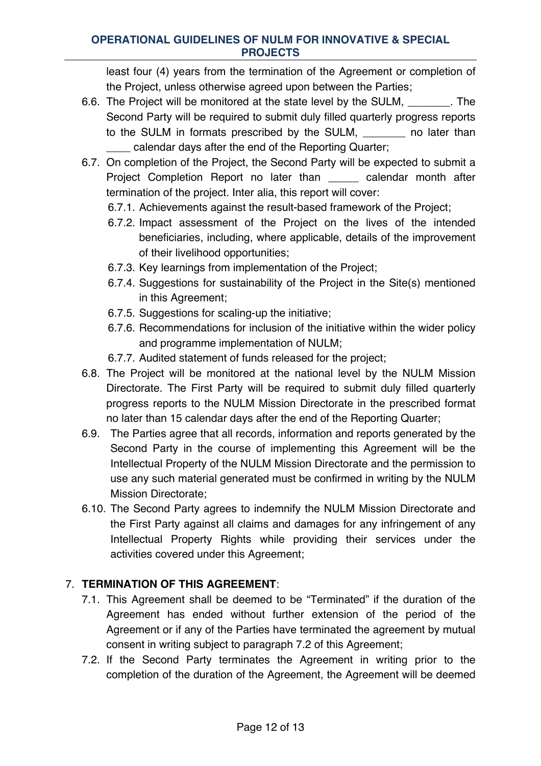least four (4) years from the termination of the Agreement or completion of the Project, unless otherwise agreed upon between the Parties;

- 6.6. The Project will be monitored at the state level by the SULM, \_\_\_\_\_\_\_. The Second Party will be required to submit duly filled quarterly progress reports to the SULM in formats prescribed by the SULM, and later than calendar days after the end of the Reporting Quarter;
- 6.7. On completion of the Project, the Second Party will be expected to submit a Project Completion Report no later than \_\_\_\_\_ calendar month after termination of the project. Inter alia, this report will cover:
	- 6.7.1. Achievements against the result-based framework of the Project;
	- 6.7.2. Impact assessment of the Project on the lives of the intended beneficiaries, including, where applicable, details of the improvement of their livelihood opportunities;
	- 6.7.3. Key learnings from implementation of the Project;
	- 6.7.4. Suggestions for sustainability of the Project in the Site(s) mentioned in this Agreement;
	- 6.7.5. Suggestions for scaling-up the initiative;
	- 6.7.6. Recommendations for inclusion of the initiative within the wider policy and programme implementation of NULM;
	- 6.7.7. Audited statement of funds released for the project;
- 6.8. The Project will be monitored at the national level by the NULM Mission Directorate. The First Party will be required to submit duly filled quarterly progress reports to the NULM Mission Directorate in the prescribed format no later than 15 calendar days after the end of the Reporting Quarter;
- 6.9. The Parties agree that all records, information and reports generated by the Second Party in the course of implementing this Agreement will be the Intellectual Property of the NULM Mission Directorate and the permission to use any such material generated must be confirmed in writing by the NULM Mission Directorate;
- 6.10. The Second Party agrees to indemnify the NULM Mission Directorate and the First Party against all claims and damages for any infringement of any Intellectual Property Rights while providing their services under the activities covered under this Agreement;

# 7. **TERMINATION OF THIS AGREEMENT**:

- 7.1. This Agreement shall be deemed to be "Terminated" if the duration of the Agreement has ended without further extension of the period of the Agreement or if any of the Parties have terminated the agreement by mutual consent in writing subject to paragraph 7.2 of this Agreement;
- 7.2. If the Second Party terminates the Agreement in writing prior to the completion of the duration of the Agreement, the Agreement will be deemed